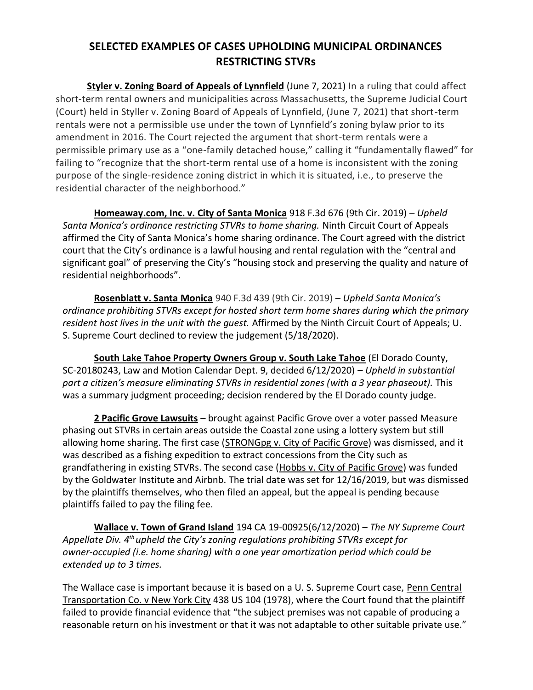## **SELECTED EXAMPLES OF CASES UPHOLDING MUNICIPAL ORDINANCES RESTRICTING STVRs**

**Styler v. Zoning Board of Appeals of Lynnfield** (June 7, 2021) In a ruling that could affect short-term rental owners and municipalities across Massachusetts, the Supreme Judicial Court (Court) held in Styller v. Zoning Board of Appeals of Lynnfield, (June 7, 2021) that short-term rentals were not a permissible use under the town of Lynnfield's zoning bylaw prior to its amendment in 2016. The Court rejected the argument that short-term rentals were a permissible primary use as a "one-family detached house," calling it "fundamentally flawed" for failing to "recognize that the short-term rental use of a home is inconsistent with the zoning purpose of the single-residence zoning district in which it is situated, i.e., to preserve the residential character of the neighborhood."

**Homeaway.com, Inc. v. City of Santa Monica** 918 F.3d 676 (9th Cir. 2019) – *Upheld Santa Monica's ordinance restricting STVRs to home sharing.* Ninth Circuit Court of Appeals affirmed the City of Santa Monica's home sharing ordinance. The Court agreed with the district court that the City's ordinance is a lawful housing and rental regulation with the "central and significant goal" of preserving the City's "housing stock and preserving the quality and nature of residential neighborhoods".

**Rosenblatt v. Santa Monica** 940 F.3d 439 (9th Cir. 2019) – *Upheld Santa Monica's ordinance prohibiting STVRs except for hosted short term home shares during which the primary resident host lives in the unit with the guest.* Affirmed by the Ninth Circuit Court of Appeals; U. S. Supreme Court declined to review the judgement (5/18/2020).

**South Lake Tahoe Property Owners Group v. South Lake Tahoe** (El Dorado County, SC-20180243, Law and Motion Calendar Dept. 9, decided 6/12/2020) – *Upheld in substantial part a citizen's measure eliminating STVRs in residential zones (with a 3 year phaseout).* This was a summary judgment proceeding; decision rendered by the El Dorado county judge.

**2 Pacific Grove Lawsuits** – brought against Pacific Grove over a voter passed Measure phasing out STVRs in certain areas outside the Coastal zone using a lottery system but still allowing home sharing. The first case (STRONGpg v. City of Pacific Grove) was dismissed, and it was described as a fishing expedition to extract concessions from the City such as grandfathering in existing STVRs. The second case (Hobbs v. City of Pacific Grove) was funded by the Goldwater Institute and Airbnb. The trial date was set for 12/16/2019, but was dismissed by the plaintiffs themselves, who then filed an appeal, but the appeal is pending because plaintiffs failed to pay the filing fee.

**Wallace v. Town of Grand Island** 194 CA 19-00925(6/12/2020) – *The NY Supreme Court Appellate Div. 4th upheld the City's zoning regulations prohibiting STVRs except for owner-occupied (i.e. home sharing) with a one year amortization period which could be extended up to 3 times.*

The Wallace case is important because it is based on a U. S. Supreme Court case, Penn Central Transportation Co. v New York City 438 US 104 (1978), where the Court found that the plaintiff failed to provide financial evidence that "the subject premises was not capable of producing a reasonable return on his investment or that it was not adaptable to other suitable private use."